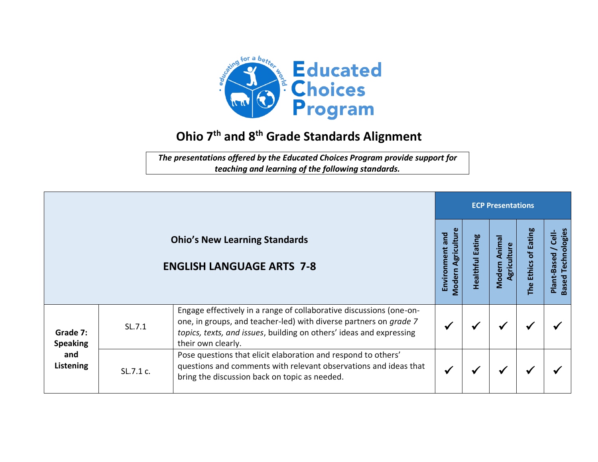

## **Ohio 7 th and 8 th Grade Standards Alignment**

*The presentations offered by the Educated Choices Program provide support for teaching and learning of the following standards.*

|                                                 |           |                                                                                                                                                                                                                                       |                                              | <b>ECP Presentations</b>   |                                       |                                            |                                                   |  |  |  |
|-------------------------------------------------|-----------|---------------------------------------------------------------------------------------------------------------------------------------------------------------------------------------------------------------------------------------|----------------------------------------------|----------------------------|---------------------------------------|--------------------------------------------|---------------------------------------------------|--|--|--|
|                                                 |           | <b>Ohio's New Learning Standards</b><br><b>ENGLISH LANGUAGE ARTS 7-8</b>                                                                                                                                                              | <b>Modern Agriculture</b><br>Environment and | Eating<br><b>Healthful</b> | Anima<br>Agriculture<br><b>Modern</b> | <b>Eating</b><br>t<br><b>Ethics</b><br>The | <b>Based Technologies</b><br>Cell-<br>Plant-Based |  |  |  |
| Grade 7:<br><b>Speaking</b><br>and<br>Listening | SL.7.1    | Engage effectively in a range of collaborative discussions (one-on-<br>one, in groups, and teacher-led) with diverse partners on grade 7<br>topics, texts, and issues, building on others' ideas and expressing<br>their own clearly. |                                              |                            | ✔                                     |                                            |                                                   |  |  |  |
|                                                 | SL.7.1 c. | Pose questions that elicit elaboration and respond to others'<br>questions and comments with relevant observations and ideas that<br>bring the discussion back on topic as needed.                                                    |                                              |                            | ₩                                     |                                            |                                                   |  |  |  |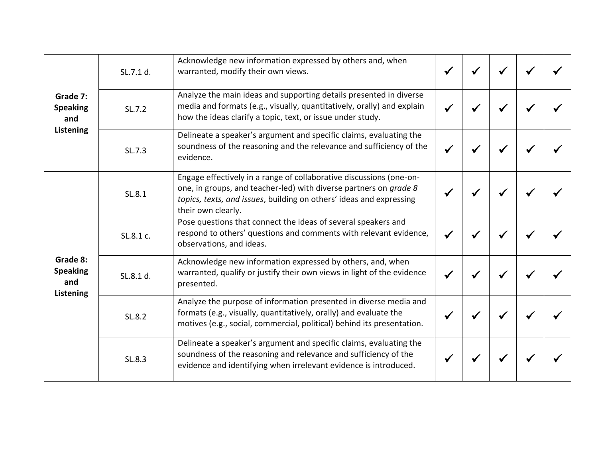| Grade 7:<br><b>Speaking</b><br>and<br>Listening | SL.7.1 d. | Acknowledge new information expressed by others and, when<br>warranted, modify their own views.                                                                                                                                       |  |  |  |
|-------------------------------------------------|-----------|---------------------------------------------------------------------------------------------------------------------------------------------------------------------------------------------------------------------------------------|--|--|--|
|                                                 | SL.7.2    | Analyze the main ideas and supporting details presented in diverse<br>media and formats (e.g., visually, quantitatively, orally) and explain<br>how the ideas clarify a topic, text, or issue under study.                            |  |  |  |
|                                                 | SL.7.3    | Delineate a speaker's argument and specific claims, evaluating the<br>soundness of the reasoning and the relevance and sufficiency of the<br>evidence.                                                                                |  |  |  |
|                                                 | SL.8.1    | Engage effectively in a range of collaborative discussions (one-on-<br>one, in groups, and teacher-led) with diverse partners on grade 8<br>topics, texts, and issues, building on others' ideas and expressing<br>their own clearly. |  |  |  |
|                                                 | SL.8.1 c. | Pose questions that connect the ideas of several speakers and<br>respond to others' questions and comments with relevant evidence,<br>observations, and ideas.                                                                        |  |  |  |
| Grade 8:<br><b>Speaking</b><br>and              | SL.8.1 d. | Acknowledge new information expressed by others, and, when<br>warranted, qualify or justify their own views in light of the evidence<br>presented.                                                                                    |  |  |  |
| Listening                                       | SL.8.2    | Analyze the purpose of information presented in diverse media and<br>formats (e.g., visually, quantitatively, orally) and evaluate the<br>motives (e.g., social, commercial, political) behind its presentation.                      |  |  |  |
|                                                 | SL.8.3    | Delineate a speaker's argument and specific claims, evaluating the<br>soundness of the reasoning and relevance and sufficiency of the<br>evidence and identifying when irrelevant evidence is introduced.                             |  |  |  |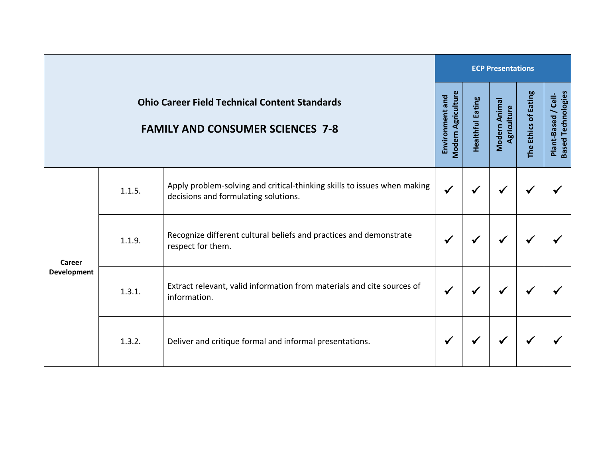|                                                                                                 |        | <b>ECP Presentations</b>                                                                                         |              |                         |                              |                      |                                                  |  |  |
|-------------------------------------------------------------------------------------------------|--------|------------------------------------------------------------------------------------------------------------------|--------------|-------------------------|------------------------------|----------------------|--------------------------------------------------|--|--|
| <b>Ohio Career Field Technical Content Standards</b><br><b>FAMILY AND CONSUMER SCIENCES 7-8</b> |        |                                                                                                                  |              | <b>Healthful Eating</b> | Modern Animal<br>Agriculture | The Ethics of Eating | <b>Based Technologies</b><br>Plant-Based / Cell- |  |  |
| Career<br><b>Development</b>                                                                    | 1.1.5. | Apply problem-solving and critical-thinking skills to issues when making<br>decisions and formulating solutions. | $\checkmark$ | $\checkmark$            | $\checkmark$                 | ✔                    |                                                  |  |  |
|                                                                                                 | 1.1.9. | Recognize different cultural beliefs and practices and demonstrate<br>respect for them.                          | $\checkmark$ | ✔                       | ✔                            | ✔                    |                                                  |  |  |
|                                                                                                 | 1.3.1. | Extract relevant, valid information from materials and cite sources of<br>information.                           | $\checkmark$ | ✔                       | ✔                            | ✔                    |                                                  |  |  |
|                                                                                                 | 1.3.2. | Deliver and critique formal and informal presentations.                                                          | $\checkmark$ | ✔                       | $\checkmark$                 | ✔                    |                                                  |  |  |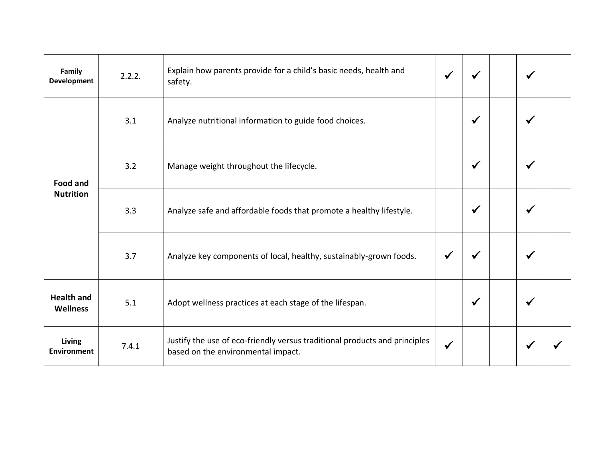| Family<br><b>Development</b>        | 2.2.2. | Explain how parents provide for a child's basic needs, health and<br>safety.                                     |              |              | √            |  |
|-------------------------------------|--------|------------------------------------------------------------------------------------------------------------------|--------------|--------------|--------------|--|
| <b>Food and</b><br><b>Nutrition</b> | 3.1    | Analyze nutritional information to guide food choices.                                                           |              | $\checkmark$ | $\checkmark$ |  |
|                                     | 3.2    | Manage weight throughout the lifecycle.                                                                          |              | $\checkmark$ | $\checkmark$ |  |
|                                     | 3.3    | Analyze safe and affordable foods that promote a healthy lifestyle.                                              |              | ✔            | ✔            |  |
|                                     | 3.7    | Analyze key components of local, healthy, sustainably-grown foods.                                               |              |              | $\checkmark$ |  |
| <b>Health and</b><br>Wellness       | 5.1    | Adopt wellness practices at each stage of the lifespan.                                                          |              | $\checkmark$ | $\checkmark$ |  |
| Living<br>Environment               | 7.4.1  | Justify the use of eco-friendly versus traditional products and principles<br>based on the environmental impact. | $\checkmark$ |              |              |  |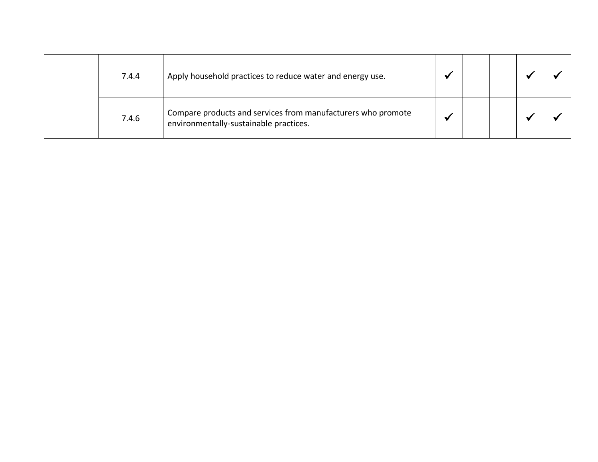| 7.4.4 | Apply household practices to reduce water and energy use.                                              |  |  |  |
|-------|--------------------------------------------------------------------------------------------------------|--|--|--|
| 7.4.6 | Compare products and services from manufacturers who promote<br>environmentally-sustainable practices. |  |  |  |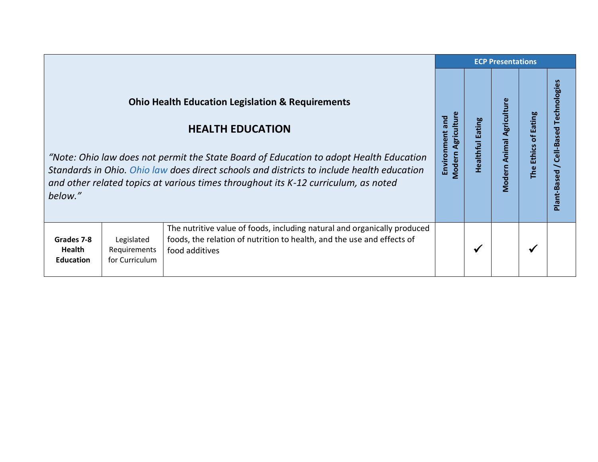|                                                 |                                              |                                                                                                                                                                                                                                                                                                                                                                     | <b>ECP Presentations</b>                     |                                   |                           |                      |                                           |  |
|-------------------------------------------------|----------------------------------------------|---------------------------------------------------------------------------------------------------------------------------------------------------------------------------------------------------------------------------------------------------------------------------------------------------------------------------------------------------------------------|----------------------------------------------|-----------------------------------|---------------------------|----------------------|-------------------------------------------|--|
| below."                                         |                                              | <b>Ohio Health Education Legislation &amp; Requirements</b><br><b>HEALTH EDUCATION</b><br>"Note: Ohio law does not permit the State Board of Education to adopt Health Education<br>Standards in Ohio. Ohio law does direct schools and districts to include health education<br>and other related topics at various times throughout its K-12 curriculum, as noted | <b>Modern Agriculture</b><br>Environment and | <b>Eating</b><br><b>Healthful</b> | Modern Animal Agriculture | The Ethics of Eating | Technologies<br>Cell-Based<br>Plant-Based |  |
| Grades 7-8<br><b>Health</b><br><b>Education</b> | Legislated<br>Requirements<br>for Curriculum | The nutritive value of foods, including natural and organically produced<br>foods, the relation of nutrition to health, and the use and effects of<br>food additives                                                                                                                                                                                                |                                              | √                                 |                           | $\checkmark$         |                                           |  |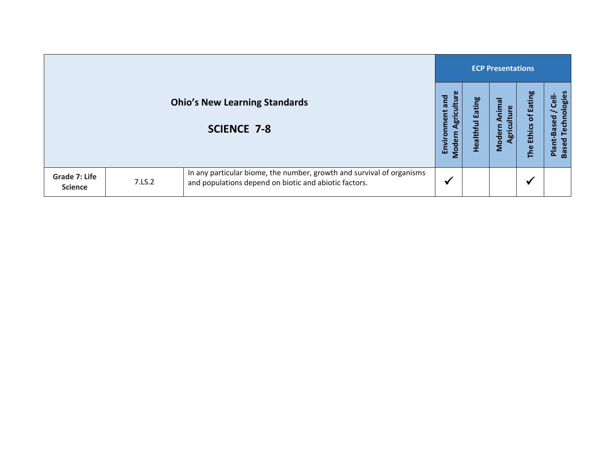|                                        |        |                                                                                                                                |                                                        |                   | <b>ECP Presentations</b>                   |                                                |                                                                                 |  |  |  |  |
|----------------------------------------|--------|--------------------------------------------------------------------------------------------------------------------------------|--------------------------------------------------------|-------------------|--------------------------------------------|------------------------------------------------|---------------------------------------------------------------------------------|--|--|--|--|
|                                        |        | <b>Ohio's New Learning Standards</b><br><b>SCIENCE 7-8</b>                                                                     | Ĕ<br>and<br>nment<br>ပ<br><b>bp</b><br>Enviro<br>Moder | Eating<br>Healthf | nimal<br>ၑ<br>Е<br>Moder<br>$\overline{5}$ | of Eating<br><b>Ethics</b><br>The <sup>l</sup> | ologies<br>$\ddot{e}$<br><b>Techn</b><br><b>Based</b><br><b>Based</b><br>Plant- |  |  |  |  |
| <b>Grade 7: Life</b><br><b>Science</b> | 7.LS.2 | In any particular biome, the number, growth and survival of organisms<br>and populations depend on biotic and abiotic factors. | ₩                                                      |                   |                                            | ✔                                              |                                                                                 |  |  |  |  |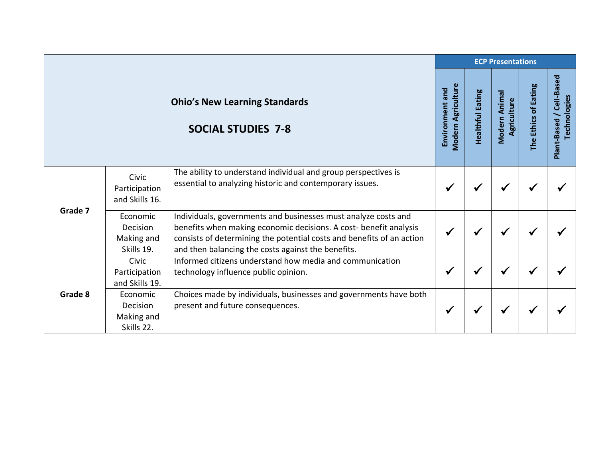|         |                                                  |                                                                                                                                                                                                                                                                    | <b>ECP Presentations</b>              |                         |                              |                      |                                             |  |  |  |
|---------|--------------------------------------------------|--------------------------------------------------------------------------------------------------------------------------------------------------------------------------------------------------------------------------------------------------------------------|---------------------------------------|-------------------------|------------------------------|----------------------|---------------------------------------------|--|--|--|
|         |                                                  | <b>Ohio's New Learning Standards</b><br><b>SOCIAL STUDIES 7-8</b>                                                                                                                                                                                                  | Modern Agriculture<br>Environment and | <b>Healthful Eating</b> | Modern Animal<br>Agriculture | The Ethics of Eating | Cell-Based<br>Technologies<br>Plant-Based / |  |  |  |
| Grade 7 | Civic<br>Participation<br>and Skills 16.         | The ability to understand individual and group perspectives is<br>essential to analyzing historic and contemporary issues.                                                                                                                                         | $\checkmark$                          |                         |                              |                      |                                             |  |  |  |
|         | Economic<br>Decision<br>Making and<br>Skills 19. | Individuals, governments and businesses must analyze costs and<br>benefits when making economic decisions. A cost- benefit analysis<br>consists of determining the potential costs and benefits of an action<br>and then balancing the costs against the benefits. | $\checkmark$                          |                         |                              |                      |                                             |  |  |  |
| Grade 8 | Civic<br>Participation<br>and Skills 19.         | Informed citizens understand how media and communication<br>technology influence public opinion.                                                                                                                                                                   | ✔                                     |                         |                              |                      |                                             |  |  |  |
|         | Economic<br>Decision<br>Making and<br>Skills 22. | Choices made by individuals, businesses and governments have both<br>present and future consequences.                                                                                                                                                              | ✔                                     |                         |                              |                      |                                             |  |  |  |